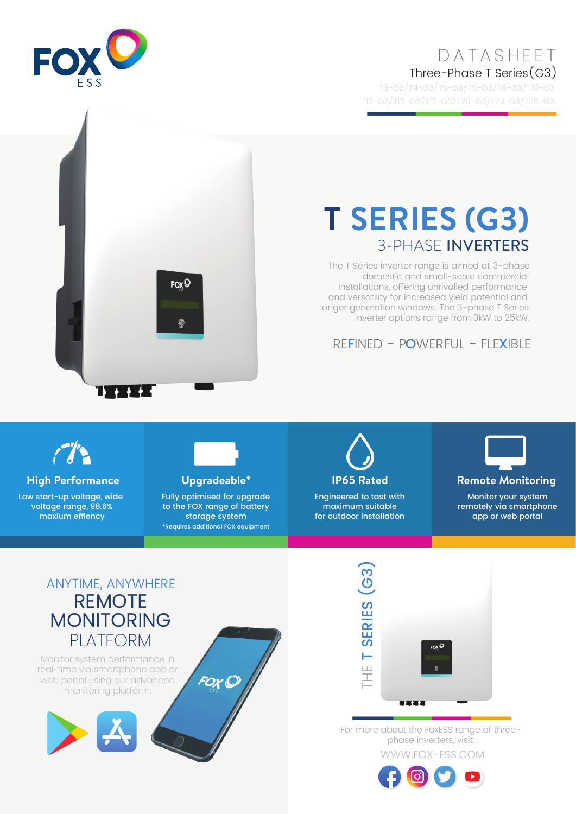## DATASHEET Three-Phase T Series(G3)

T3-G3/T4-G3/T5-G3/T6-G3/T8-G3/T10-G3 T12-G3/T15-G3/T17-G3/T20-G3/T23-G3/T25-G3



# $F_{OX}$ <sup> $\mathbb{Q}$ </sup>

# **T SERIES (G3)** 3-PHASE INVERTERS

The T Series inverter range is aimed at 3-phase domestic and small-scale commercial installations, offering unrivalled performance and versatility for increased yield potential and longer generation windows. The 3-phase T Series inverter options range from 3kW to 25kW.

### REFINED - POWERFUL - FLEXIBLE



U

в в

**High Performance Upgradeable\* IP65 Rated Remote Monitoring**

Low start-up voltage, wide voltage range, 98.6% maxium effiency



Fully optimised for upgrade to the FOX range of battery storage system \*Requires additional FOX equipment

FOX C



Engineered to tast with maximum suitable for outdoor installation



Monitor your system

remotely via smartphone app or web portal

### ANYTIME, ANYWHERE REMOTE MONITORING PLATFORM

Monitor system performance in real-time via smartphone app or web portal using our advanced monitoring platform.





WWW.FOX-ESS.COM For more about the FoxESS range of threephase inverters, visit: